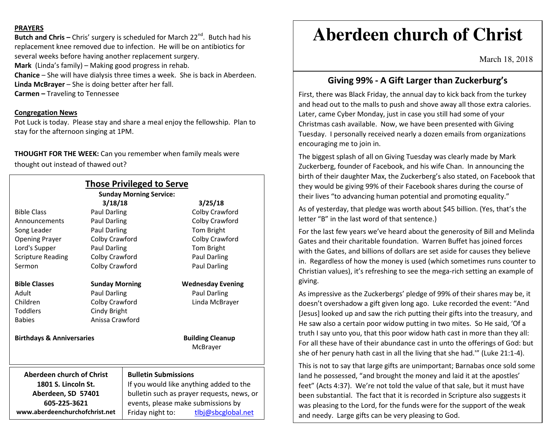### **PRAYERS**

**Butch and Chris –** Chris' surgery is scheduled for March 22<sup>nd</sup>. Butch had his replacement knee removed due to infection. He will be on antibiotics for several weeks before having another replacement surgery. **Mark** (Linda's family) – Making good progress in rehab.**Chanice** – She will have dialysis three times a week. She is back in Aberdeen. **Linda McBrayer** – She is doing better after her fall. **Carmen –** Traveling to Tennessee

## **Congregation News**

 Pot Luck is today. Please stay and share a meal enjoy the fellowship. Plan to stay for the afternoon singing at 1PM.

**THOUGHT FOR THE WEEK:** Can you remember when family meals were thought out instead of thawed out?

|                                      |                       | <b>Those Privileged to Serve</b><br><b>Sunday Morning Service:</b> |                                     |
|--------------------------------------|-----------------------|--------------------------------------------------------------------|-------------------------------------|
|                                      | 3/18/18               |                                                                    | 3/25/18                             |
| <b>Bible Class</b>                   | Paul Darling          |                                                                    | Colby Crawford                      |
| Announcements                        | Paul Darling          |                                                                    | Colby Crawford                      |
| Song Leader                          | Paul Darling          |                                                                    | Tom Bright                          |
| <b>Opening Prayer</b>                | Colby Crawford        |                                                                    | Colby Crawford                      |
| Lord's Supper                        | Paul Darling          |                                                                    | Tom Bright                          |
| <b>Scripture Reading</b>             | Colby Crawford        |                                                                    | <b>Paul Darling</b>                 |
| Sermon                               | Colby Crawford        |                                                                    | Paul Darling                        |
| <b>Bible Classes</b>                 | <b>Sunday Morning</b> |                                                                    | <b>Wednesday Evening</b>            |
| Adult                                | Paul Darling          |                                                                    | Paul Darling                        |
| Children                             | Colby Crawford        |                                                                    | Linda McBrayer                      |
| <b>Toddlers</b>                      | Cindy Bright          |                                                                    |                                     |
| <b>Babies</b>                        | Anissa Crawford       |                                                                    |                                     |
| <b>Birthdays &amp; Anniversaries</b> |                       |                                                                    | <b>Building Cleanup</b><br>McBrayer |
|                                      |                       |                                                                    |                                     |
| <b>Aberdeen church of Christ</b>     |                       | <b>Bulletin Submissions</b>                                        |                                     |
| 1801 S. Lincoln St.                  |                       | If you would like anything added to the                            |                                     |
| Aberdeen, SD 57401                   |                       | bulletin such as prayer requests, news, or                         |                                     |
| 605-225-3621                         |                       | events, please make submissions by                                 |                                     |
| www.aberdeenchurchofchrist.net       |                       | Friday night to:                                                   | tlbj@sbcglobal.net                  |

# **Aberdeen church of Christ**

March 18, 2018

## **Giving 99% - A Gift Larger than Zuckerburg's**

First, there was Black Friday, the annual day to kick back from the turkey and head out to the malls to push and shove away all those extra calories. Later, came Cyber Monday, just in case you still had some of your Christmas cash available. Now, we have been presented with Giving Tuesday. I personally received nearly a dozen emails from organizations encouraging me to join in.

The biggest splash of all on Giving Tuesday was clearly made by Mark Zuckerberg, founder of Facebook, and his wife Chan. In announcing the birth of their daughter Max, the Zuckerberg's also stated, on Facebook that they would be giving 99% of their Facebook shares during the course of their lives "to advancing human potential and promoting equality."

As of yesterday, that pledge was worth about \$45 billion. (Yes, that's the letter "B" in the last word of that sentence.)

For the last few years we've heard about the generosity of Bill and Melinda Gates and their charitable foundation. Warren Buffet has joined forces with the Gates, and billions of dollars are set aside for causes they believe in. Regardless of how the money is used (which sometimes runs counter to Christian values), it's refreshing to see the mega-rich setting an example of giving.

As impressive as the Zuckerbergs' pledge of 99% of their shares may be, it doesn't overshadow a gift given long ago. Luke recorded the event: "And [Jesus] looked up and saw the rich putting their gifts into the treasury, and He saw also a certain poor widow putting in two mites. So He said, 'Of a truth I say unto you, that this poor widow hath cast in more than they all: For all these have of their abundance cast in unto the offerings of God: but she of her penury hath cast in all the living that she had.'" (Luke 21:1-4).

This is not to say that large gifts are unimportant; Barnabas once sold some land he possessed, "and brought the money and laid it at the apostles' feet" (Acts 4:37). We're not told the value of that sale, but it must have been substantial. The fact that it is recorded in Scripture also suggests it was pleasing to the Lord, for the funds were for the support of the weak and needy. Large gifts can be very pleasing to God.